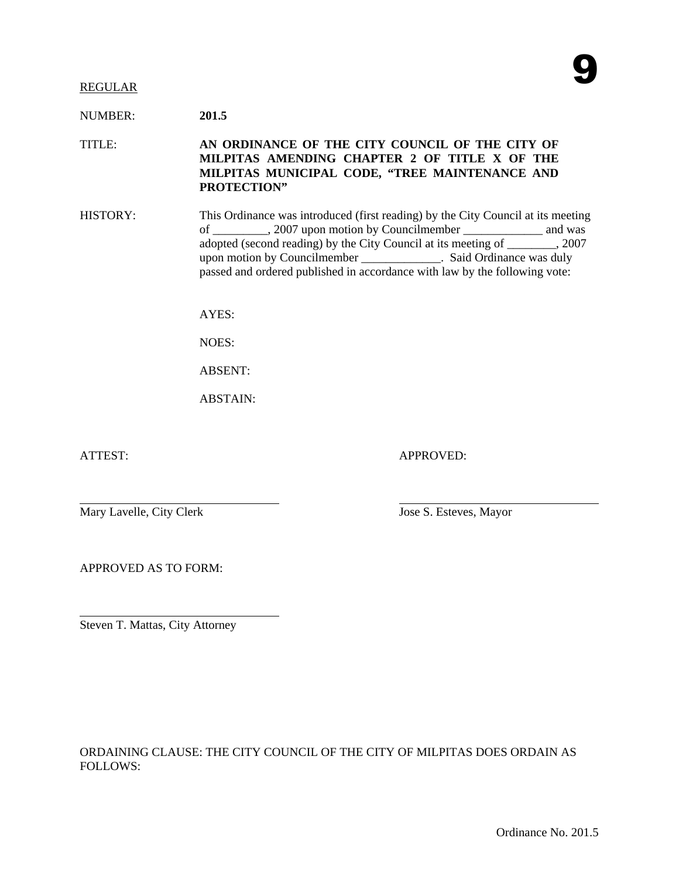#### REGULAR

NUMBER: **201.5**

TITLE: **AN ORDINANCE OF THE CITY COUNCIL OF THE CITY OF MILPITAS AMENDING CHAPTER 2 OF TITLE X OF THE MILPITAS MUNICIPAL CODE, "TREE MAINTENANCE AND PROTECTION"** 

HISTORY: This Ordinance was introduced (first reading) by the City Council at its meeting of \_\_\_\_\_\_\_\_\_, 2007 upon motion by Councilmember \_\_\_\_\_\_\_\_\_\_\_\_\_ and was adopted (second reading) by the City Council at its meeting of \_\_\_\_\_\_\_\_, 2007 upon motion by Councilmember \_\_\_\_\_\_\_\_\_\_\_\_\_. Said Ordinance was duly passed and ordered published in accordance with law by the following vote:

 $AYES$ 

NOES:

ABSENT:

ABSTAIN:

ATTEST: APPROVED:

Mary Lavelle, City Clerk Jose S. Esteves, Mayor

APPROVED AS TO FORM:

Steven T. Mattas, City Attorney

ORDAINING CLAUSE: THE CITY COUNCIL OF THE CITY OF MILPITAS DOES ORDAIN AS FOLLOWS: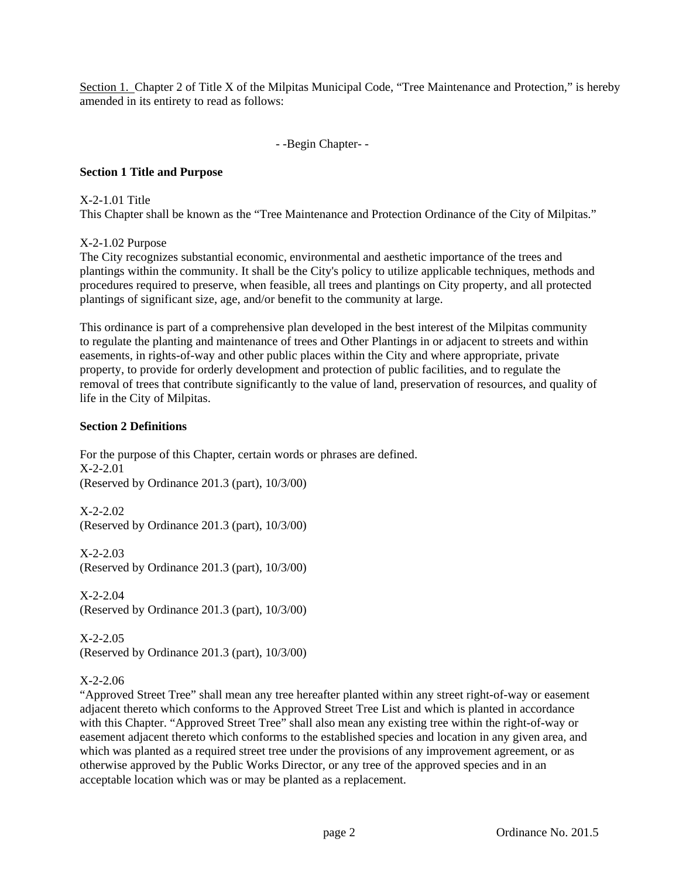Section 1. Chapter 2 of Title X of the Milpitas Municipal Code, "Tree Maintenance and Protection," is hereby amended in its entirety to read as follows:

- -Begin Chapter- -

## **Section 1 Title and Purpose**

X-2-1.01 Title This Chapter shall be known as the "Tree Maintenance and Protection Ordinance of the City of Milpitas."

X-2-1.02 Purpose

The City recognizes substantial economic, environmental and aesthetic importance of the trees and plantings within the community. It shall be the City's policy to utilize applicable techniques, methods and procedures required to preserve, when feasible, all trees and plantings on City property, and all protected plantings of significant size, age, and/or benefit to the community at large.

This ordinance is part of a comprehensive plan developed in the best interest of the Milpitas community to regulate the planting and maintenance of trees and Other Plantings in or adjacent to streets and within easements, in rights-of-way and other public places within the City and where appropriate, private property, to provide for orderly development and protection of public facilities, and to regulate the removal of trees that contribute significantly to the value of land, preservation of resources, and quality of life in the City of Milpitas.

#### **Section 2 Definitions**

For the purpose of this Chapter, certain words or phrases are defined. X-2-2.01 (Reserved by Ordinance 201.3 (part), 10/3/00)

X-2-2.02 (Reserved by Ordinance 201.3 (part), 10/3/00)

X-2-2.03 (Reserved by Ordinance 201.3 (part), 10/3/00)

X-2-2.04 (Reserved by Ordinance 201.3 (part), 10/3/00)

X-2-2.05 (Reserved by Ordinance 201.3 (part), 10/3/00)

## X-2-2.06

"Approved Street Tree" shall mean any tree hereafter planted within any street right-of-way or easement adjacent thereto which conforms to the Approved Street Tree List and which is planted in accordance with this Chapter. "Approved Street Tree" shall also mean any existing tree within the right-of-way or easement adjacent thereto which conforms to the established species and location in any given area, and which was planted as a required street tree under the provisions of any improvement agreement, or as otherwise approved by the Public Works Director, or any tree of the approved species and in an acceptable location which was or may be planted as a replacement.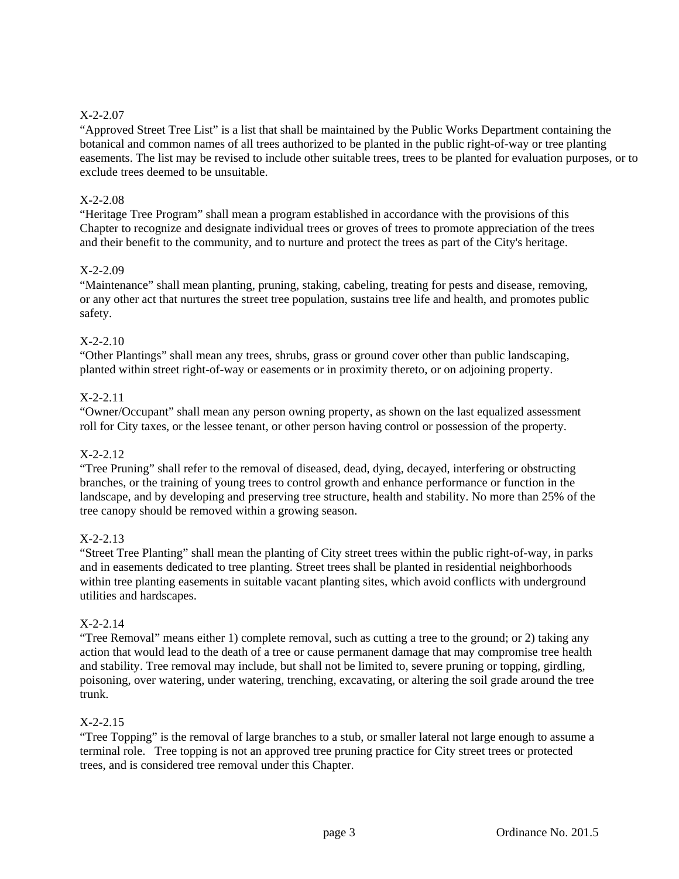# X-2-2.07

"Approved Street Tree List" is a list that shall be maintained by the Public Works Department containing the botanical and common names of all trees authorized to be planted in the public right-of-way or tree planting easements. The list may be revised to include other suitable trees, trees to be planted for evaluation purposes, or to exclude trees deemed to be unsuitable.

## X-2-2.08

"Heritage Tree Program" shall mean a program established in accordance with the provisions of this Chapter to recognize and designate individual trees or groves of trees to promote appreciation of the trees and their benefit to the community, and to nurture and protect the trees as part of the City's heritage.

## X-2-2.09

"Maintenance" shall mean planting, pruning, staking, cabeling, treating for pests and disease, removing, or any other act that nurtures the street tree population, sustains tree life and health, and promotes public safety.

## X-2-2.10

"Other Plantings" shall mean any trees, shrubs, grass or ground cover other than public landscaping, planted within street right-of-way or easements or in proximity thereto, or on adjoining property.

## X-2-2.11

"Owner/Occupant" shall mean any person owning property, as shown on the last equalized assessment roll for City taxes, or the lessee tenant, or other person having control or possession of the property.

## X-2-2.12

"Tree Pruning" shall refer to the removal of diseased, dead, dying, decayed, interfering or obstructing branches, or the training of young trees to control growth and enhance performance or function in the landscape, and by developing and preserving tree structure, health and stability. No more than 25% of the tree canopy should be removed within a growing season.

## X-2-2.13

"Street Tree Planting" shall mean the planting of City street trees within the public right-of-way, in parks and in easements dedicated to tree planting. Street trees shall be planted in residential neighborhoods within tree planting easements in suitable vacant planting sites, which avoid conflicts with underground utilities and hardscapes.

## X-2-2.14

"Tree Removal" means either 1) complete removal, such as cutting a tree to the ground; or 2) taking any action that would lead to the death of a tree or cause permanent damage that may compromise tree health and stability. Tree removal may include, but shall not be limited to, severe pruning or topping, girdling, poisoning, over watering, under watering, trenching, excavating, or altering the soil grade around the tree trunk.

## X-2-2.15

"Tree Topping" is the removal of large branches to a stub, or smaller lateral not large enough to assume a terminal role. Tree topping is not an approved tree pruning practice for City street trees or protected trees, and is considered tree removal under this Chapter.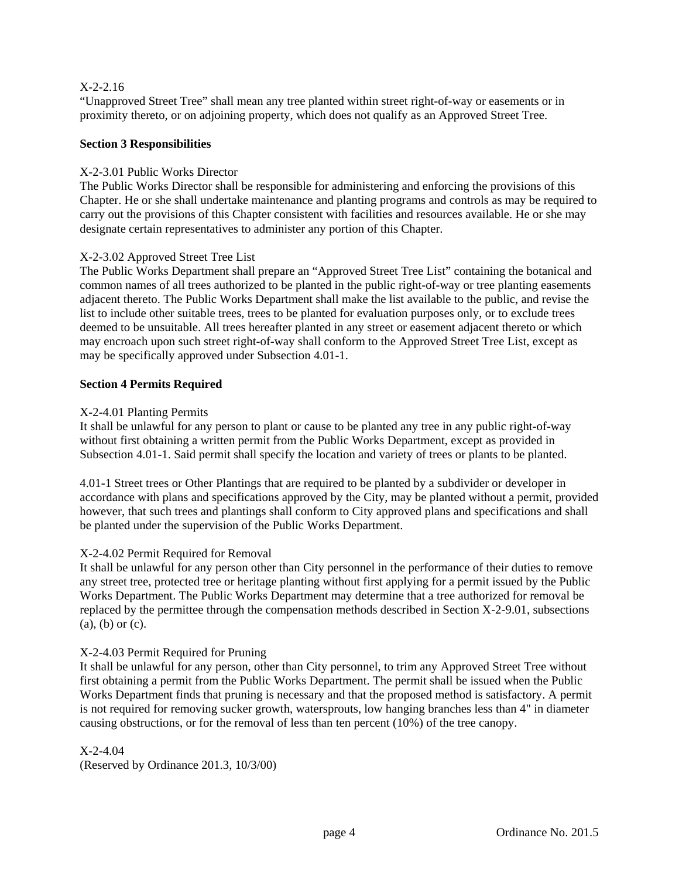## X-2-2.16

"Unapproved Street Tree" shall mean any tree planted within street right-of-way or easements or in proximity thereto, or on adjoining property, which does not qualify as an Approved Street Tree.

## **Section 3 Responsibilities**

## X-2-3.01 Public Works Director

The Public Works Director shall be responsible for administering and enforcing the provisions of this Chapter. He or she shall undertake maintenance and planting programs and controls as may be required to carry out the provisions of this Chapter consistent with facilities and resources available. He or she may designate certain representatives to administer any portion of this Chapter.

## X-2-3.02 Approved Street Tree List

The Public Works Department shall prepare an "Approved Street Tree List" containing the botanical and common names of all trees authorized to be planted in the public right-of-way or tree planting easements adjacent thereto. The Public Works Department shall make the list available to the public, and revise the list to include other suitable trees, trees to be planted for evaluation purposes only, or to exclude trees deemed to be unsuitable. All trees hereafter planted in any street or easement adjacent thereto or which may encroach upon such street right-of-way shall conform to the Approved Street Tree List, except as may be specifically approved under Subsection 4.01-1.

## **Section 4 Permits Required**

## X-2-4.01 Planting Permits

It shall be unlawful for any person to plant or cause to be planted any tree in any public right-of-way without first obtaining a written permit from the Public Works Department, except as provided in Subsection 4.01-1. Said permit shall specify the location and variety of trees or plants to be planted.

4.01-1 Street trees or Other Plantings that are required to be planted by a subdivider or developer in accordance with plans and specifications approved by the City, may be planted without a permit, provided however, that such trees and plantings shall conform to City approved plans and specifications and shall be planted under the supervision of the Public Works Department.

# X-2-4.02 Permit Required for Removal

It shall be unlawful for any person other than City personnel in the performance of their duties to remove any street tree, protected tree or heritage planting without first applying for a permit issued by the Public Works Department. The Public Works Department may determine that a tree authorized for removal be replaced by the permittee through the compensation methods described in Section X-2-9.01, subsections (a), (b) or (c).

## X-2-4.03 Permit Required for Pruning

It shall be unlawful for any person, other than City personnel, to trim any Approved Street Tree without first obtaining a permit from the Public Works Department. The permit shall be issued when the Public Works Department finds that pruning is necessary and that the proposed method is satisfactory. A permit is not required for removing sucker growth, watersprouts, low hanging branches less than 4" in diameter causing obstructions, or for the removal of less than ten percent (10%) of the tree canopy.

## $X-2-4.04$

(Reserved by Ordinance 201.3, 10/3/00)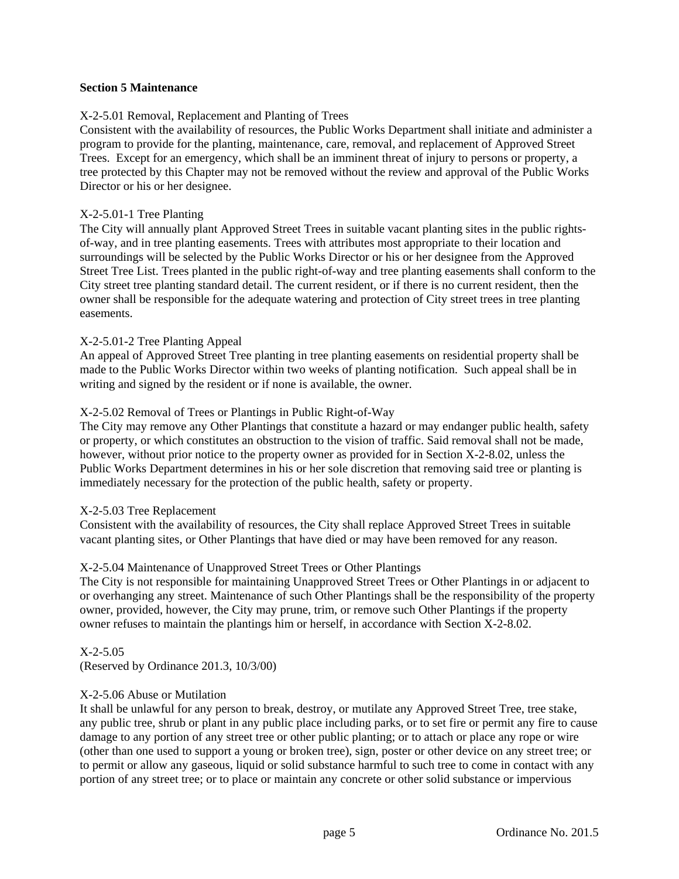## **Section 5 Maintenance**

## X-2-5.01 Removal, Replacement and Planting of Trees

Consistent with the availability of resources, the Public Works Department shall initiate and administer a program to provide for the planting, maintenance, care, removal, and replacement of Approved Street Trees. Except for an emergency, which shall be an imminent threat of injury to persons or property, a tree protected by this Chapter may not be removed without the review and approval of the Public Works Director or his or her designee.

#### X-2-5.01-1 Tree Planting

The City will annually plant Approved Street Trees in suitable vacant planting sites in the public rightsof-way, and in tree planting easements. Trees with attributes most appropriate to their location and surroundings will be selected by the Public Works Director or his or her designee from the Approved Street Tree List. Trees planted in the public right-of-way and tree planting easements shall conform to the City street tree planting standard detail. The current resident, or if there is no current resident, then the owner shall be responsible for the adequate watering and protection of City street trees in tree planting easements.

#### X-2-5.01-2 Tree Planting Appeal

An appeal of Approved Street Tree planting in tree planting easements on residential property shall be made to the Public Works Director within two weeks of planting notification. Such appeal shall be in writing and signed by the resident or if none is available, the owner.

## X-2-5.02 Removal of Trees or Plantings in Public Right-of-Way

The City may remove any Other Plantings that constitute a hazard or may endanger public health, safety or property, or which constitutes an obstruction to the vision of traffic. Said removal shall not be made, however, without prior notice to the property owner as provided for in Section X-2-8.02, unless the Public Works Department determines in his or her sole discretion that removing said tree or planting is immediately necessary for the protection of the public health, safety or property.

#### X-2-5.03 Tree Replacement

Consistent with the availability of resources, the City shall replace Approved Street Trees in suitable vacant planting sites, or Other Plantings that have died or may have been removed for any reason.

## X-2-5.04 Maintenance of Unapproved Street Trees or Other Plantings

The City is not responsible for maintaining Unapproved Street Trees or Other Plantings in or adjacent to or overhanging any street. Maintenance of such Other Plantings shall be the responsibility of the property owner, provided, however, the City may prune, trim, or remove such Other Plantings if the property owner refuses to maintain the plantings him or herself, in accordance with Section X-2-8.02.

X-2-5.05 (Reserved by Ordinance 201.3, 10/3/00)

## X-2-5.06 Abuse or Mutilation

It shall be unlawful for any person to break, destroy, or mutilate any Approved Street Tree, tree stake, any public tree, shrub or plant in any public place including parks, or to set fire or permit any fire to cause damage to any portion of any street tree or other public planting; or to attach or place any rope or wire (other than one used to support a young or broken tree), sign, poster or other device on any street tree; or to permit or allow any gaseous, liquid or solid substance harmful to such tree to come in contact with any portion of any street tree; or to place or maintain any concrete or other solid substance or impervious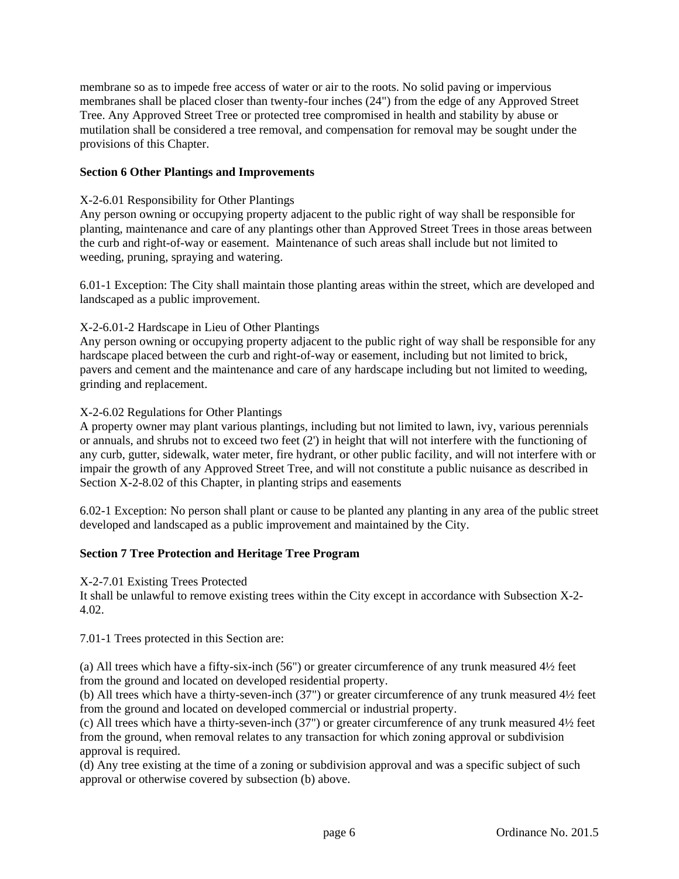membrane so as to impede free access of water or air to the roots. No solid paving or impervious membranes shall be placed closer than twenty-four inches (24") from the edge of any Approved Street Tree. Any Approved Street Tree or protected tree compromised in health and stability by abuse or mutilation shall be considered a tree removal, and compensation for removal may be sought under the provisions of this Chapter.

## **Section 6 Other Plantings and Improvements**

#### X-2-6.01 Responsibility for Other Plantings

Any person owning or occupying property adjacent to the public right of way shall be responsible for planting, maintenance and care of any plantings other than Approved Street Trees in those areas between the curb and right-of-way or easement. Maintenance of such areas shall include but not limited to weeding, pruning, spraying and watering.

6.01-1 Exception: The City shall maintain those planting areas within the street, which are developed and landscaped as a public improvement.

#### X-2-6.01-2 Hardscape in Lieu of Other Plantings

Any person owning or occupying property adjacent to the public right of way shall be responsible for any hardscape placed between the curb and right-of-way or easement, including but not limited to brick, pavers and cement and the maintenance and care of any hardscape including but not limited to weeding, grinding and replacement.

#### X-2-6.02 Regulations for Other Plantings

A property owner may plant various plantings, including but not limited to lawn, ivy, various perennials or annuals, and shrubs not to exceed two feet (2') in height that will not interfere with the functioning of any curb, gutter, sidewalk, water meter, fire hydrant, or other public facility, and will not interfere with or impair the growth of any Approved Street Tree, and will not constitute a public nuisance as described in Section X-2-8.02 of this Chapter, in planting strips and easements

6.02-1 Exception: No person shall plant or cause to be planted any planting in any area of the public street developed and landscaped as a public improvement and maintained by the City.

## **Section 7 Tree Protection and Heritage Tree Program**

#### X-2-7.01 Existing Trees Protected

It shall be unlawful to remove existing trees within the City except in accordance with Subsection X-2- 4.02.

7.01-1 Trees protected in this Section are:

(a) All trees which have a fifty-six-inch (56") or greater circumference of any trunk measured 4½ feet from the ground and located on developed residential property.

(b) All trees which have a thirty-seven-inch (37") or greater circumference of any trunk measured 4½ feet from the ground and located on developed commercial or industrial property.

(c) All trees which have a thirty-seven-inch (37") or greater circumference of any trunk measured 4½ feet from the ground, when removal relates to any transaction for which zoning approval or subdivision approval is required.

(d) Any tree existing at the time of a zoning or subdivision approval and was a specific subject of such approval or otherwise covered by subsection (b) above.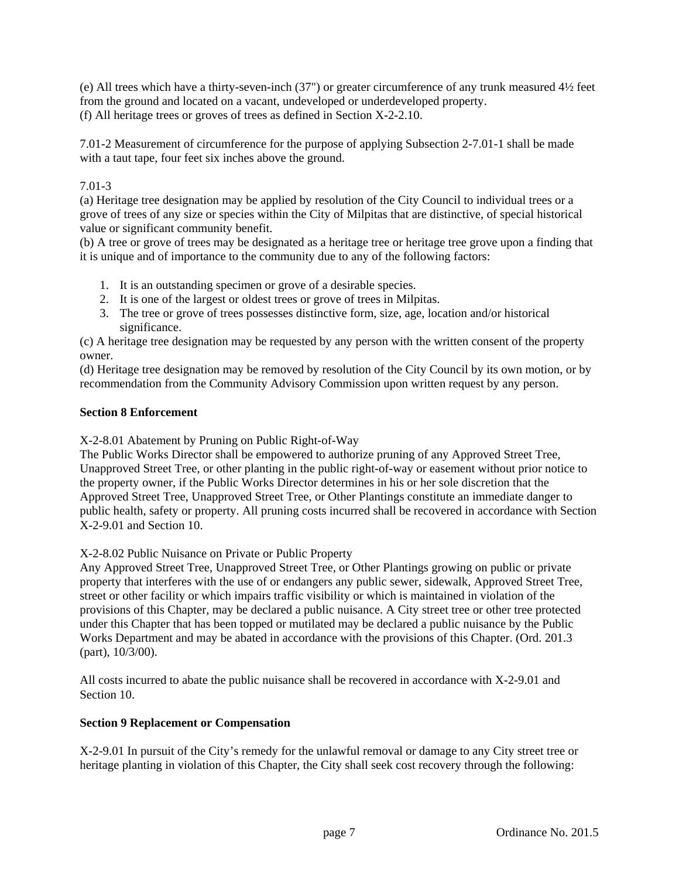(e) All trees which have a thirty-seven-inch (37") or greater circumference of any trunk measured 4½ feet from the ground and located on a vacant, undeveloped or underdeveloped property. (f) All heritage trees or groves of trees as defined in Section X-2-2.10.

7.01-2 Measurement of circumference for the purpose of applying Subsection 2-7.01-1 shall be made with a taut tape, four feet six inches above the ground.

# 7.01-3

(a) Heritage tree designation may be applied by resolution of the City Council to individual trees or a grove of trees of any size or species within the City of Milpitas that are distinctive, of special historical value or significant community benefit.

(b) A tree or grove of trees may be designated as a heritage tree or heritage tree grove upon a finding that it is unique and of importance to the community due to any of the following factors:

- 1. It is an outstanding specimen or grove of a desirable species.
- 2. It is one of the largest or oldest trees or grove of trees in Milpitas.
- 3. The tree or grove of trees possesses distinctive form, size, age, location and/or historical significance.

(c) A heritage tree designation may be requested by any person with the written consent of the property owner.

(d) Heritage tree designation may be removed by resolution of the City Council by its own motion, or by recommendation from the Community Advisory Commission upon written request by any person.

## **Section 8 Enforcement**

X-2-8.01 Abatement by Pruning on Public Right-of-Way

The Public Works Director shall be empowered to authorize pruning of any Approved Street Tree, Unapproved Street Tree, or other planting in the public right-of-way or easement without prior notice to the property owner, if the Public Works Director determines in his or her sole discretion that the Approved Street Tree, Unapproved Street Tree, or Other Plantings constitute an immediate danger to public health, safety or property. All pruning costs incurred shall be recovered in accordance with Section X-2-9.01 and Section 10.

X-2-8.02 Public Nuisance on Private or Public Property

Any Approved Street Tree, Unapproved Street Tree, or Other Plantings growing on public or private property that interferes with the use of or endangers any public sewer, sidewalk, Approved Street Tree, street or other facility or which impairs traffic visibility or which is maintained in violation of the provisions of this Chapter, may be declared a public nuisance. A City street tree or other tree protected under this Chapter that has been topped or mutilated may be declared a public nuisance by the Public Works Department and may be abated in accordance with the provisions of this Chapter. (Ord. 201.3 (part), 10/3/00).

All costs incurred to abate the public nuisance shall be recovered in accordance with X-2-9.01 and Section 10.

## **Section 9 Replacement or Compensation**

X-2-9.01 In pursuit of the City's remedy for the unlawful removal or damage to any City street tree or heritage planting in violation of this Chapter, the City shall seek cost recovery through the following: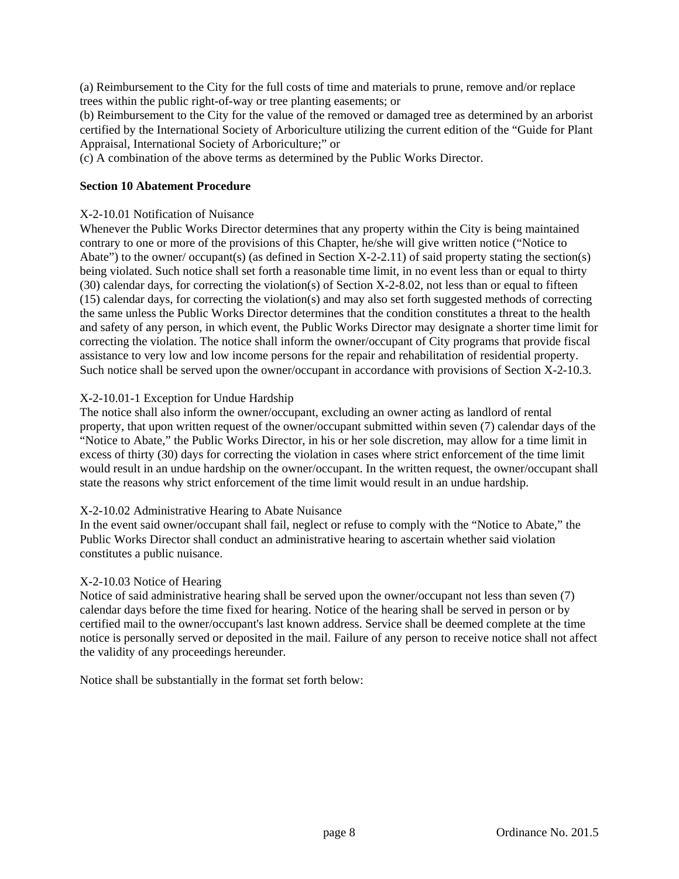(a) Reimbursement to the City for the full costs of time and materials to prune, remove and/or replace trees within the public right-of-way or tree planting easements; or

(b) Reimbursement to the City for the value of the removed or damaged tree as determined by an arborist certified by the International Society of Arboriculture utilizing the current edition of the "Guide for Plant Appraisal, International Society of Arboriculture;" or

(c) A combination of the above terms as determined by the Public Works Director.

#### **Section 10 Abatement Procedure**

#### X-2-10.01 Notification of Nuisance

Whenever the Public Works Director determines that any property within the City is being maintained contrary to one or more of the provisions of this Chapter, he/she will give written notice ("Notice to Abate") to the owner/ occupant(s) (as defined in Section X-2-2.11) of said property stating the section(s) being violated. Such notice shall set forth a reasonable time limit, in no event less than or equal to thirty (30) calendar days, for correcting the violation(s) of Section X-2-8.02, not less than or equal to fifteen (15) calendar days, for correcting the violation(s) and may also set forth suggested methods of correcting the same unless the Public Works Director determines that the condition constitutes a threat to the health and safety of any person, in which event, the Public Works Director may designate a shorter time limit for correcting the violation. The notice shall inform the owner/occupant of City programs that provide fiscal assistance to very low and low income persons for the repair and rehabilitation of residential property. Such notice shall be served upon the owner/occupant in accordance with provisions of Section X-2-10.3.

#### X-2-10.01-1 Exception for Undue Hardship

The notice shall also inform the owner/occupant, excluding an owner acting as landlord of rental property, that upon written request of the owner/occupant submitted within seven (7) calendar days of the "Notice to Abate," the Public Works Director, in his or her sole discretion, may allow for a time limit in excess of thirty (30) days for correcting the violation in cases where strict enforcement of the time limit would result in an undue hardship on the owner/occupant. In the written request, the owner/occupant shall state the reasons why strict enforcement of the time limit would result in an undue hardship.

## X-2-10.02 Administrative Hearing to Abate Nuisance

In the event said owner/occupant shall fail, neglect or refuse to comply with the "Notice to Abate," the Public Works Director shall conduct an administrative hearing to ascertain whether said violation constitutes a public nuisance.

#### X-2-10.03 Notice of Hearing

Notice of said administrative hearing shall be served upon the owner/occupant not less than seven (7) calendar days before the time fixed for hearing. Notice of the hearing shall be served in person or by certified mail to the owner/occupant's last known address. Service shall be deemed complete at the time notice is personally served or deposited in the mail. Failure of any person to receive notice shall not affect the validity of any proceedings hereunder.

Notice shall be substantially in the format set forth below: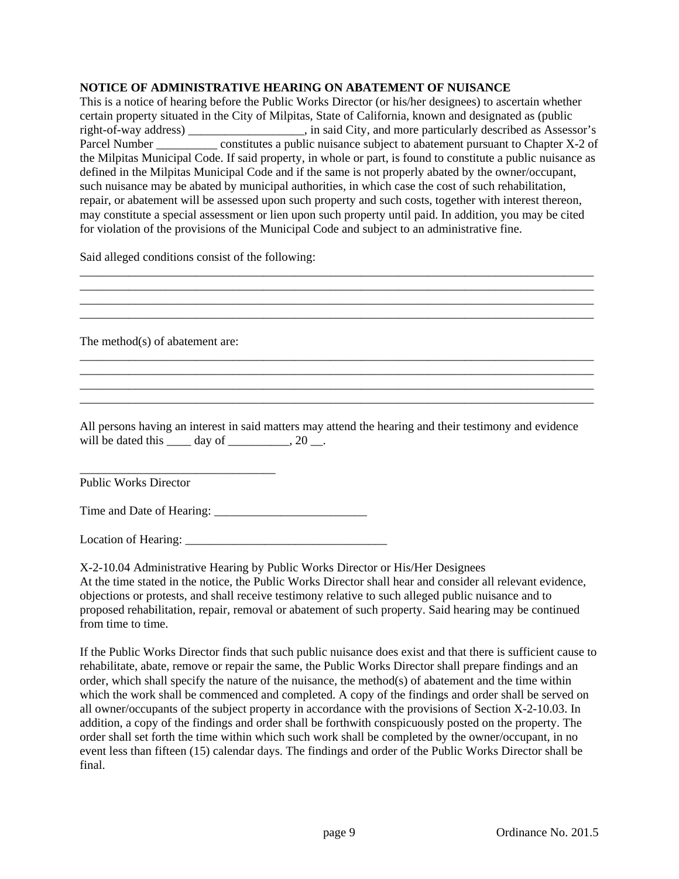## **NOTICE OF ADMINISTRATIVE HEARING ON ABATEMENT OF NUISANCE**

This is a notice of hearing before the Public Works Director (or his/her designees) to ascertain whether certain property situated in the City of Milpitas, State of California, known and designated as (public right-of-way address) \_\_\_\_\_\_\_\_\_\_\_\_\_\_\_\_\_\_\_, in said City, and more particularly described as Assessor's Parcel Number \_\_\_\_\_\_\_\_\_\_\_\_ constitutes a public nuisance subject to abatement pursuant to Chapter X-2 of the Milpitas Municipal Code. If said property, in whole or part, is found to constitute a public nuisance as defined in the Milpitas Municipal Code and if the same is not properly abated by the owner/occupant, such nuisance may be abated by municipal authorities, in which case the cost of such rehabilitation, repair, or abatement will be assessed upon such property and such costs, together with interest thereon, may constitute a special assessment or lien upon such property until paid. In addition, you may be cited for violation of the provisions of the Municipal Code and subject to an administrative fine.

\_\_\_\_\_\_\_\_\_\_\_\_\_\_\_\_\_\_\_\_\_\_\_\_\_\_\_\_\_\_\_\_\_\_\_\_\_\_\_\_\_\_\_\_\_\_\_\_\_\_\_\_\_\_\_\_\_\_\_\_\_\_\_\_\_\_\_\_\_\_\_\_\_\_\_\_\_\_\_\_\_\_\_\_

Said alleged conditions consist of the following:

| The method(s) of abatement are:                                                                                                                                              |  |
|------------------------------------------------------------------------------------------------------------------------------------------------------------------------------|--|
|                                                                                                                                                                              |  |
| All persons having an interest in said matters may attend the hearing and their testimony and evidence<br>will be dated this $\_\_\_$ day of $\_\_\_\_\_$ , 20 $\_\_\_\_\$ . |  |
| <b>Public Works Director</b>                                                                                                                                                 |  |
|                                                                                                                                                                              |  |

Location of Hearing: \_\_\_\_\_\_\_\_\_\_\_\_\_\_\_\_\_\_\_\_\_\_\_\_\_\_\_\_\_\_\_\_\_

X-2-10.04 Administrative Hearing by Public Works Director or His/Her Designees At the time stated in the notice, the Public Works Director shall hear and consider all relevant evidence, objections or protests, and shall receive testimony relative to such alleged public nuisance and to proposed rehabilitation, repair, removal or abatement of such property. Said hearing may be continued from time to time.

If the Public Works Director finds that such public nuisance does exist and that there is sufficient cause to rehabilitate, abate, remove or repair the same, the Public Works Director shall prepare findings and an order, which shall specify the nature of the nuisance, the method(s) of abatement and the time within which the work shall be commenced and completed. A copy of the findings and order shall be served on all owner/occupants of the subject property in accordance with the provisions of Section X-2-10.03. In addition, a copy of the findings and order shall be forthwith conspicuously posted on the property. The order shall set forth the time within which such work shall be completed by the owner/occupant, in no event less than fifteen (15) calendar days. The findings and order of the Public Works Director shall be final.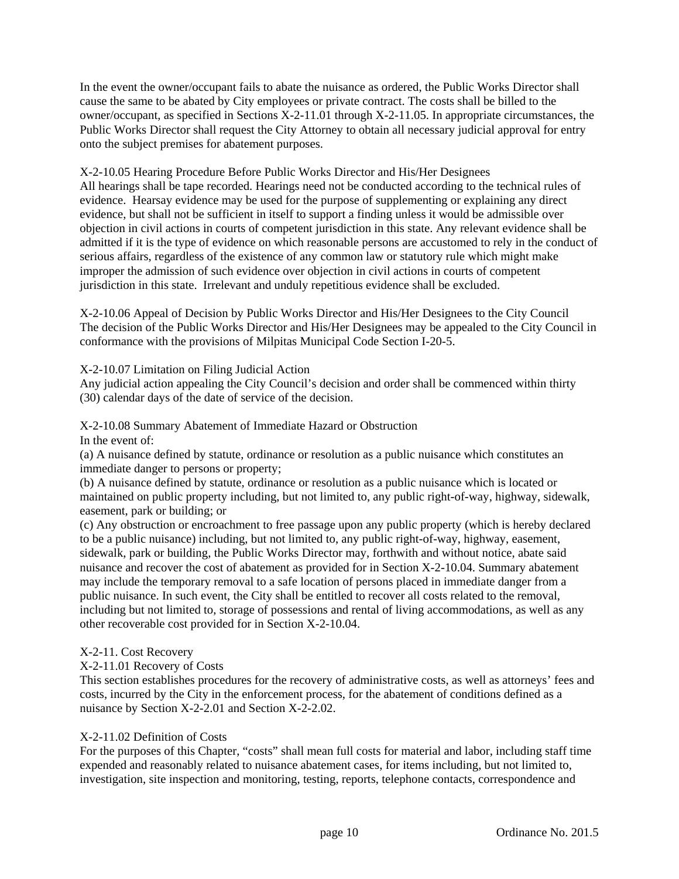In the event the owner/occupant fails to abate the nuisance as ordered, the Public Works Director shall cause the same to be abated by City employees or private contract. The costs shall be billed to the owner/occupant, as specified in Sections X-2-11.01 through X-2-11.05. In appropriate circumstances, the Public Works Director shall request the City Attorney to obtain all necessary judicial approval for entry onto the subject premises for abatement purposes.

X-2-10.05 Hearing Procedure Before Public Works Director and His/Her Designees

All hearings shall be tape recorded. Hearings need not be conducted according to the technical rules of evidence. Hearsay evidence may be used for the purpose of supplementing or explaining any direct evidence, but shall not be sufficient in itself to support a finding unless it would be admissible over objection in civil actions in courts of competent jurisdiction in this state. Any relevant evidence shall be admitted if it is the type of evidence on which reasonable persons are accustomed to rely in the conduct of serious affairs, regardless of the existence of any common law or statutory rule which might make improper the admission of such evidence over objection in civil actions in courts of competent jurisdiction in this state. Irrelevant and unduly repetitious evidence shall be excluded.

X-2-10.06 Appeal of Decision by Public Works Director and His/Her Designees to the City Council The decision of the Public Works Director and His/Her Designees may be appealed to the City Council in conformance with the provisions of Milpitas Municipal Code Section I-20-5.

## X-2-10.07 Limitation on Filing Judicial Action

Any judicial action appealing the City Council's decision and order shall be commenced within thirty (30) calendar days of the date of service of the decision.

## X-2-10.08 Summary Abatement of Immediate Hazard or Obstruction

In the event of:

(a) A nuisance defined by statute, ordinance or resolution as a public nuisance which constitutes an immediate danger to persons or property;

(b) A nuisance defined by statute, ordinance or resolution as a public nuisance which is located or maintained on public property including, but not limited to, any public right-of-way, highway, sidewalk, easement, park or building; or

(c) Any obstruction or encroachment to free passage upon any public property (which is hereby declared to be a public nuisance) including, but not limited to, any public right-of-way, highway, easement, sidewalk, park or building, the Public Works Director may, forthwith and without notice, abate said nuisance and recover the cost of abatement as provided for in Section X-2-10.04. Summary abatement may include the temporary removal to a safe location of persons placed in immediate danger from a public nuisance. In such event, the City shall be entitled to recover all costs related to the removal, including but not limited to, storage of possessions and rental of living accommodations, as well as any other recoverable cost provided for in Section X-2-10.04.

# X-2-11. Cost Recovery

# X-2-11.01 Recovery of Costs

This section establishes procedures for the recovery of administrative costs, as well as attorneys' fees and costs, incurred by the City in the enforcement process, for the abatement of conditions defined as a nuisance by Section X-2-2.01 and Section X-2-2.02.

## X-2-11.02 Definition of Costs

For the purposes of this Chapter, "costs" shall mean full costs for material and labor, including staff time expended and reasonably related to nuisance abatement cases, for items including, but not limited to, investigation, site inspection and monitoring, testing, reports, telephone contacts, correspondence and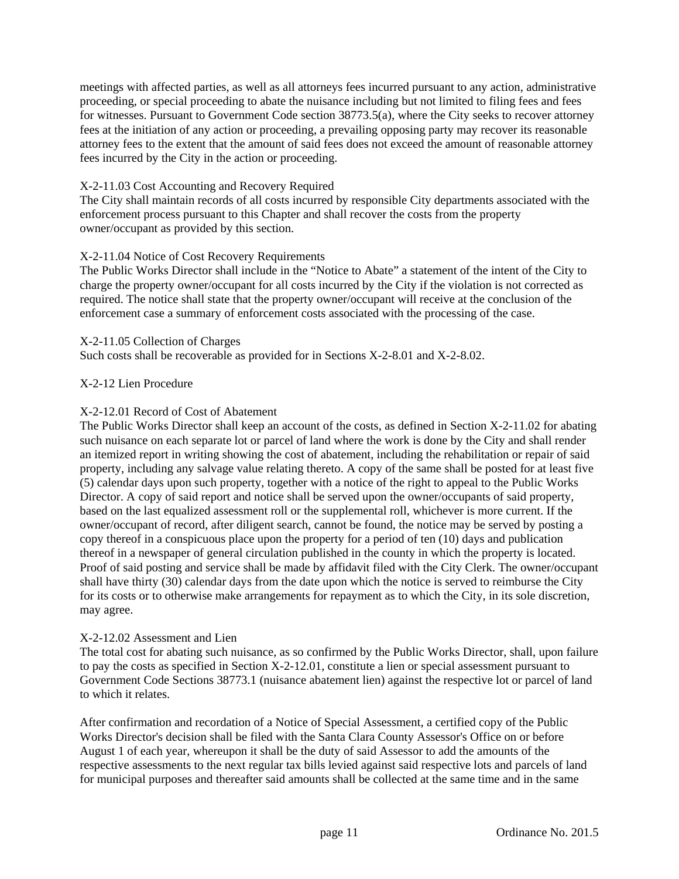meetings with affected parties, as well as all attorneys fees incurred pursuant to any action, administrative proceeding, or special proceeding to abate the nuisance including but not limited to filing fees and fees for witnesses. Pursuant to Government Code section 38773.5(a), where the City seeks to recover attorney fees at the initiation of any action or proceeding, a prevailing opposing party may recover its reasonable attorney fees to the extent that the amount of said fees does not exceed the amount of reasonable attorney fees incurred by the City in the action or proceeding.

## X-2-11.03 Cost Accounting and Recovery Required

The City shall maintain records of all costs incurred by responsible City departments associated with the enforcement process pursuant to this Chapter and shall recover the costs from the property owner/occupant as provided by this section.

## X-2-11.04 Notice of Cost Recovery Requirements

The Public Works Director shall include in the "Notice to Abate" a statement of the intent of the City to charge the property owner/occupant for all costs incurred by the City if the violation is not corrected as required. The notice shall state that the property owner/occupant will receive at the conclusion of the enforcement case a summary of enforcement costs associated with the processing of the case.

## X-2-11.05 Collection of Charges

Such costs shall be recoverable as provided for in Sections X-2-8.01 and X-2-8.02.

## X-2-12 Lien Procedure

## X-2-12.01 Record of Cost of Abatement

The Public Works Director shall keep an account of the costs, as defined in Section X-2-11.02 for abating such nuisance on each separate lot or parcel of land where the work is done by the City and shall render an itemized report in writing showing the cost of abatement, including the rehabilitation or repair of said property, including any salvage value relating thereto. A copy of the same shall be posted for at least five (5) calendar days upon such property, together with a notice of the right to appeal to the Public Works Director. A copy of said report and notice shall be served upon the owner/occupants of said property, based on the last equalized assessment roll or the supplemental roll, whichever is more current. If the owner/occupant of record, after diligent search, cannot be found, the notice may be served by posting a copy thereof in a conspicuous place upon the property for a period of ten (10) days and publication thereof in a newspaper of general circulation published in the county in which the property is located. Proof of said posting and service shall be made by affidavit filed with the City Clerk. The owner/occupant shall have thirty (30) calendar days from the date upon which the notice is served to reimburse the City for its costs or to otherwise make arrangements for repayment as to which the City, in its sole discretion, may agree.

## X-2-12.02 Assessment and Lien

The total cost for abating such nuisance, as so confirmed by the Public Works Director, shall, upon failure to pay the costs as specified in Section X-2-12.01, constitute a lien or special assessment pursuant to Government Code Sections 38773.1 (nuisance abatement lien) against the respective lot or parcel of land to which it relates.

After confirmation and recordation of a Notice of Special Assessment, a certified copy of the Public Works Director's decision shall be filed with the Santa Clara County Assessor's Office on or before August 1 of each year, whereupon it shall be the duty of said Assessor to add the amounts of the respective assessments to the next regular tax bills levied against said respective lots and parcels of land for municipal purposes and thereafter said amounts shall be collected at the same time and in the same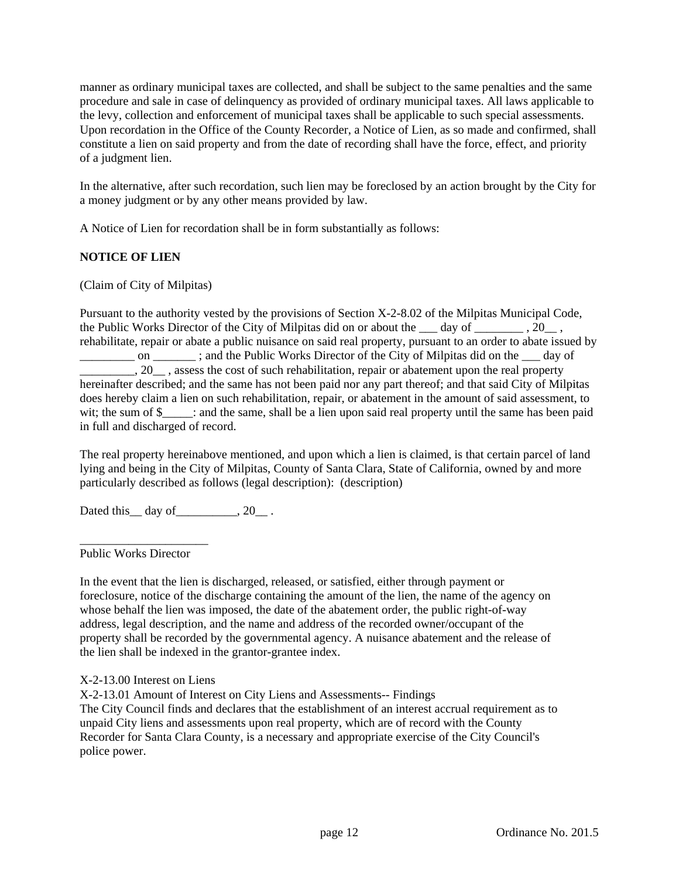manner as ordinary municipal taxes are collected, and shall be subject to the same penalties and the same procedure and sale in case of delinquency as provided of ordinary municipal taxes. All laws applicable to the levy, collection and enforcement of municipal taxes shall be applicable to such special assessments. Upon recordation in the Office of the County Recorder, a Notice of Lien, as so made and confirmed, shall constitute a lien on said property and from the date of recording shall have the force, effect, and priority of a judgment lien.

In the alternative, after such recordation, such lien may be foreclosed by an action brought by the City for a money judgment or by any other means provided by law.

A Notice of Lien for recordation shall be in form substantially as follows:

## **NOTICE OF LIEN**

(Claim of City of Milpitas)

Pursuant to the authority vested by the provisions of Section X-2-8.02 of the Milpitas Municipal Code, the Public Works Director of the City of Milpitas did on or about the  $\frac{1}{20}$ ,  $\frac{1}{20}$ , rehabilitate, repair or abate a public nuisance on said real property, pursuant to an order to abate issued by on  $\Box$ ; and the Public Works Director of the City of Milpitas did on the day of  $\overline{\phantom{a}}$ , 20 $\overline{\phantom{a}}$ , assess the cost of such rehabilitation, repair or abatement upon the real property hereinafter described; and the same has not been paid nor any part thereof; and that said City of Milpitas does hereby claim a lien on such rehabilitation, repair, or abatement in the amount of said assessment, to wit; the sum of \$  $\therefore$  and the same, shall be a lien upon said real property until the same has been paid in full and discharged of record.

The real property hereinabove mentioned, and upon which a lien is claimed, is that certain parcel of land lying and being in the City of Milpitas, County of Santa Clara, State of California, owned by and more particularly described as follows (legal description): (description)

Dated this \_\_ day of \_\_\_\_\_\_\_\_, 20\_\_ .

Public Works Director

\_\_\_\_\_\_\_\_\_\_\_\_\_\_\_\_\_\_\_\_\_

In the event that the lien is discharged, released, or satisfied, either through payment or foreclosure, notice of the discharge containing the amount of the lien, the name of the agency on whose behalf the lien was imposed, the date of the abatement order, the public right-of-way address, legal description, and the name and address of the recorded owner/occupant of the property shall be recorded by the governmental agency. A nuisance abatement and the release of the lien shall be indexed in the grantor-grantee index.

X-2-13.00 Interest on Liens

X-2-13.01 Amount of Interest on City Liens and Assessments-- Findings

The City Council finds and declares that the establishment of an interest accrual requirement as to unpaid City liens and assessments upon real property, which are of record with the County Recorder for Santa Clara County, is a necessary and appropriate exercise of the City Council's police power.